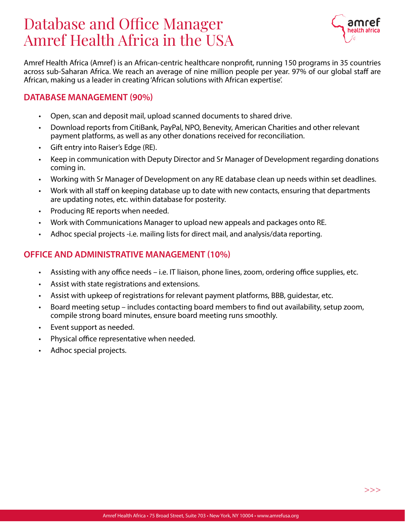# Database and Office Manager Amref Health Africa in the USA



Amref Health Africa (Amref) is an African-centric healthcare nonprofit, running 150 programs in 35 countries across sub-Saharan Africa. We reach an average of nine million people per year. 97% of our global staff are African, making us a leader in creating 'African solutions with African expertise'.

#### DATABASE MANAGEMENT (90%)

- Open, scan and deposit mail, upload scanned documents to shared drive.
- Download reports from CitiBank, PayPal, NPO, Benevity, American Charities and other relevant payment platforms, as well as any other donations received for reconciliation.
- Gift entry into Raiser's Edge (RE).
- Keep in communication with Deputy Director and Sr Manager of Development regarding donations coming in.
- Working with Sr Manager of Development on any RE database clean up needs within set deadlines.
- Work with all staff on keeping database up to date with new contacts, ensuring that departments are updating notes, etc. within database for posterity.
- Producing RE reports when needed.
- Work with Communications Manager to upload new appeals and packages onto RE.
- Adhoc special projects -i.e. mailing lists for direct mail, and analysis/data reporting.

# OFFICE AND ADMINISTRATIVE MANAGEMENT (10%)

- Assisting with any office needs i.e. IT liaison, phone lines, zoom, ordering office supplies, etc.
- Assist with state registrations and extensions.
- Assist with upkeep of registrations for relevant payment platforms, BBB, guidestar, etc.
- Board meeting setup includes contacting board members to find out availability, setup zoom, compile strong board minutes, ensure board meeting runs smoothly.
- Event support as needed.
- Physical office representative when needed.
- Adhoc special projects.